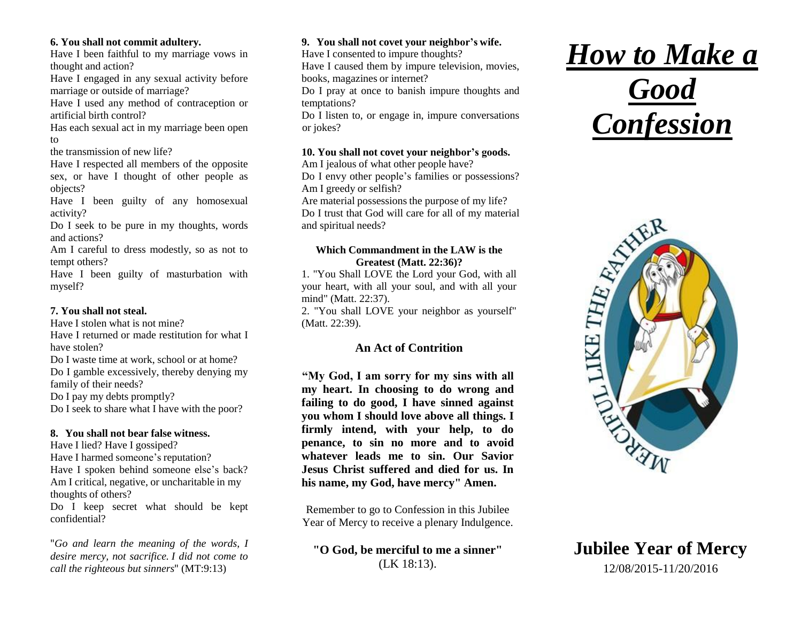#### **6. You shall not commit adultery.**

Have I been faithful to my marriage vows in thought and action?

Have I engaged in any sexual activity before marriage or outside of marriage?

Have I used any method of contraception or artificial birth control?

Has each sexual act in my marriage been open to

the transmission of new life?

Have I respected all members of the opposite sex, or have I thought of other people as objects?

Have I been guilty of any homosexual activity?

Do I seek to be pure in my thoughts, words and actions?

Am I careful to dress modestly, so as not to tempt others?

Have I been guilty of masturbation with myself?

## **7. You shall not steal.**

Have I stolen what is not mine?

Have I returned or made restitution for what I have stolen?

Do I waste time at work, school or at home?

Do I gamble excessively, thereby denying my family of their needs?

Do I pay my debts promptly?

Do I seek to share what I have with the poor?

# **8. You shall not bear false witness.**

Have I lied? Have I gossiped? Have I harmed someone's reputation? Have I spoken behind someone else's back? Am I critical, negative, or uncharitable in my thoughts of others?

Do I keep secret what should be kept confidential?

"*Go and learn the meaning of the words, I desire mercy, not sacrifice. I did not come to call the righteous but sinners*" (MT:9:13)

# **9. You shall not covet your neighbor's wife.**

Have I consented to impure thoughts?

Have I caused them by impure television, movies, books, magazines or internet?

Do I pray at once to banish impure thoughts and temptations?

Do I listen to, or engage in, impure conversations or jokes?

## **10. You shall not covet your neighbor's goods.**

Am I jealous of what other people have? Do I envy other people's families or possessions? Am I greedy or selfish?

Are material possessions the purpose of my life? Do I trust that God will care for all of my material and spiritual needs?

#### **Which Commandment in the LAW is the Greatest (Matt. 22:36)?**

1. "You Shall LOVE the Lord your God, with all your heart, with all your soul, and with all your mind" (Matt. 22:37).

2. "You shall LOVE your neighbor as yourself" (Matt. 22:39).

# **An Act of Contrition**

**"My God, I am sorry for my sins with all my heart. In choosing to do wrong and failing to do good, I have sinned against you whom I should love above all things. I firmly intend, with your help, to do penance, to sin no more and to avoid whatever leads me to sin. Our Savior Jesus Christ suffered and died for us. In his name, my God, have mercy" Amen.** 

Remember to go to Confession in this Jubilee Year of Mercy to receive a plenary Indulgence.

**"O God, be merciful to me a sinner"** (LK 18:13).

# *How to Make a Good Confession*



**Jubilee Year of Mercy** 12/08/2015-11/20/2016